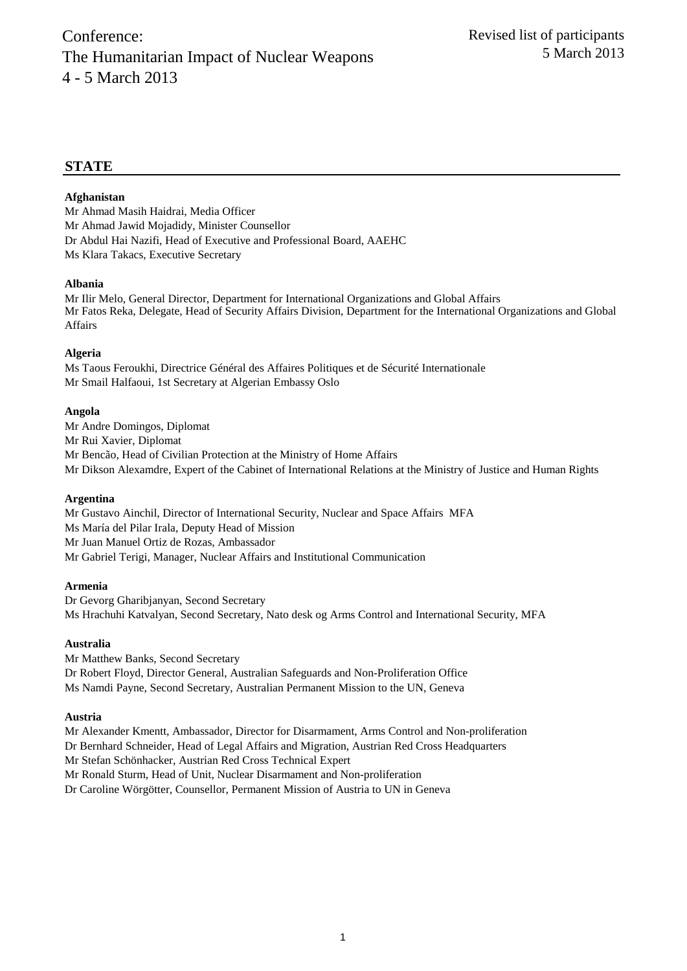## **STATE**

## **Afghanistan**

Mr Ahmad Masih Haidrai, Media Officer Mr Ahmad Jawid Mojadidy, Minister Counsellor Dr Abdul Hai Nazifi, Head of Executive and Professional Board, AAEHC Ms Klara Takacs, Executive Secretary

## **Albania**

Mr Ilir Melo, General Director, Department for International Organizations and Global Affairs Mr Fatos Reka, Delegate, Head of Security Affairs Division, Department for the International Organizations and Global Affairs

## **Algeria**

Ms Taous Feroukhi, Directrice Général des Affaires Politiques et de Sécurité Internationale Mr Smail Halfaoui, 1st Secretary at Algerian Embassy Oslo

#### **Angola**

Mr Andre Domingos, Diplomat Mr Rui Xavier, Diplomat Mr Bencão, Head of Civilian Protection at the Ministry of Home Affairs Mr Dikson Alexamdre, Expert of the Cabinet of International Relations at the Ministry of Justice and Human Rights

#### **Argentina**

Mr Gustavo Ainchil, Director of International Security, Nuclear and Space Affairs MFA Ms María del Pilar Irala, Deputy Head of Mission Mr Juan Manuel Ortiz de Rozas, Ambassador Mr Gabriel Terigi, Manager, Nuclear Affairs and Institutional Communication

#### **Armenia**

Dr Gevorg Gharibjanyan, Second Secretary Ms Hrachuhi Katvalyan, Second Secretary, Nato desk og Arms Control and International Security, MFA

## **Australia**

Mr Matthew Banks, Second Secretary Dr Robert Floyd, Director General, Australian Safeguards and Non-Proliferation Office Ms Namdi Payne, Second Secretary, Australian Permanent Mission to the UN, Geneva

#### **Austria**

Mr Alexander Kmentt, Ambassador, Director for Disarmament, Arms Control and Non-proliferation Dr Bernhard Schneider, Head of Legal Affairs and Migration, Austrian Red Cross Headquarters Mr Stefan Schönhacker, Austrian Red Cross Technical Expert Mr Ronald Sturm, Head of Unit, Nuclear Disarmament and Non-proliferation Dr Caroline Wörgötter, Counsellor, Permanent Mission of Austria to UN in Geneva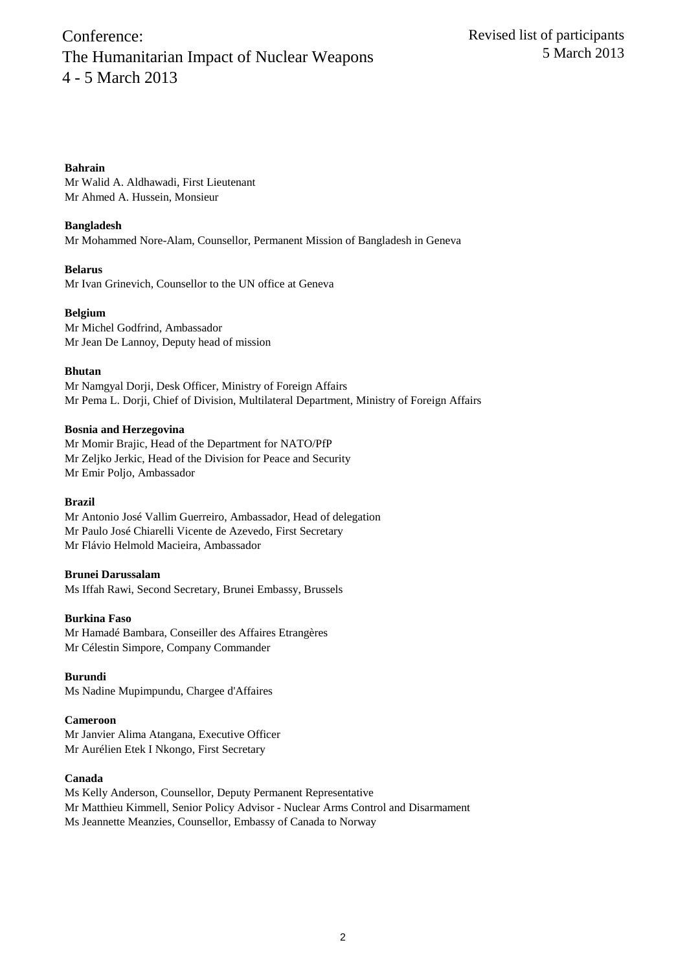## **Bahrain**

Mr Walid A. Aldhawadi, First Lieutenant Mr Ahmed A. Hussein, Monsieur

## **Bangladesh**

Mr Mohammed Nore-Alam, Counsellor, Permanent Mission of Bangladesh in Geneva

#### **Belarus**

Mr Ivan Grinevich, Counsellor to the UN office at Geneva

#### **Belgium**

Mr Michel Godfrind, Ambassador Mr Jean De Lannoy, Deputy head of mission

#### **Bhutan**

Mr Namgyal Dorji, Desk Officer, Ministry of Foreign Affairs Mr Pema L. Dorji, Chief of Division, Multilateral Department, Ministry of Foreign Affairs

#### **Bosnia and Herzegovina**

Mr Momir Brajic, Head of the Department for NATO/PfP Mr Zeljko Jerkic, Head of the Division for Peace and Security Mr Emir Poljo, Ambassador

#### **Brazil**

Mr Antonio José Vallim Guerreiro, Ambassador, Head of delegation Mr Paulo José Chiarelli Vicente de Azevedo, First Secretary Mr Flávio Helmold Macieira, Ambassador

## **Brunei Darussalam**

Ms Iffah Rawi, Second Secretary, Brunei Embassy, Brussels

#### **Burkina Faso**

Mr Hamadé Bambara, Conseiller des Affaires Etrangères Mr Célestin Simpore, Company Commander

## **Burundi**

Ms Nadine Mupimpundu, Chargee d'Affaires

#### **Cameroon**

Mr Janvier Alima Atangana, Executive Officer Mr Aurélien Etek I Nkongo, First Secretary

## **Canada**

Ms Kelly Anderson, Counsellor, Deputy Permanent Representative Mr Matthieu Kimmell, Senior Policy Advisor - Nuclear Arms Control and Disarmament Ms Jeannette Meanzies, Counsellor, Embassy of Canada to Norway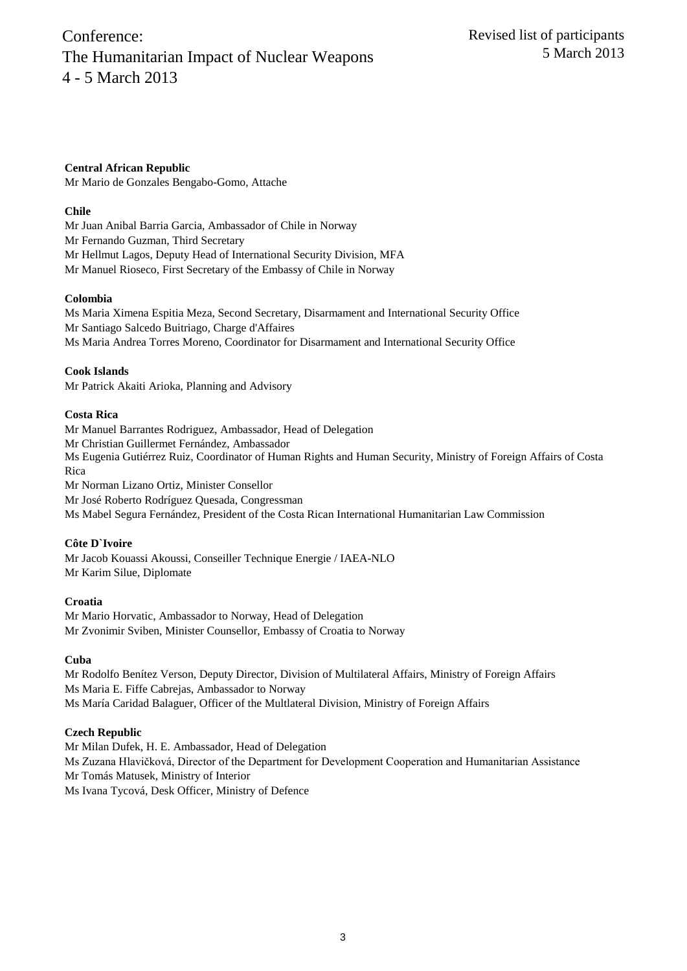**Central African Republic** Mr Mario de Gonzales Bengabo-Gomo, Attache

## **Chile**

Mr Juan Anibal Barria Garcia, Ambassador of Chile in Norway Mr Fernando Guzman, Third Secretary Mr Hellmut Lagos, Deputy Head of International Security Division, MFA Mr Manuel Rioseco, First Secretary of the Embassy of Chile in Norway

## **Colombia**

Ms Maria Ximena Espitia Meza, Second Secretary, Disarmament and International Security Office Mr Santiago Salcedo Buitriago, Charge d'Affaires Ms Maria Andrea Torres Moreno, Coordinator for Disarmament and International Security Office

## **Cook Islands**

Mr Patrick Akaiti Arioka, Planning and Advisory

## **Costa Rica**

Mr Manuel Barrantes Rodriguez, Ambassador, Head of Delegation Mr Christian Guillermet Fernández, Ambassador Ms Eugenia Gutiérrez Ruiz, Coordinator of Human Rights and Human Security, Ministry of Foreign Affairs of Costa Rica Mr Norman Lizano Ortiz, Minister Consellor Mr José Roberto Rodríguez Quesada, Congressman

Ms Mabel Segura Fernández, President of the Costa Rican International Humanitarian Law Commission

## **Côte D`Ivoire**

Mr Jacob Kouassi Akoussi, Conseiller Technique Energie / IAEA-NLO Mr Karim Silue, Diplomate

## **Croatia**

Mr Mario Horvatic, Ambassador to Norway, Head of Delegation Mr Zvonimir Sviben, Minister Counsellor, Embassy of Croatia to Norway

## **Cuba**

Mr Rodolfo Benítez Verson, Deputy Director, Division of Multilateral Affairs, Ministry of Foreign Affairs Ms Maria E. Fiffe Cabrejas, Ambassador to Norway Ms María Caridad Balaguer, Officer of the Multlateral Division, Ministry of Foreign Affairs

## **Czech Republic**

Mr Milan Dufek, H. E. Ambassador, Head of Delegation Ms Zuzana Hlavičková, Director of the Department for Development Cooperation and Humanitarian Assistance Mr Tomás Matusek, Ministry of Interior Ms Ivana Tycová, Desk Officer, Ministry of Defence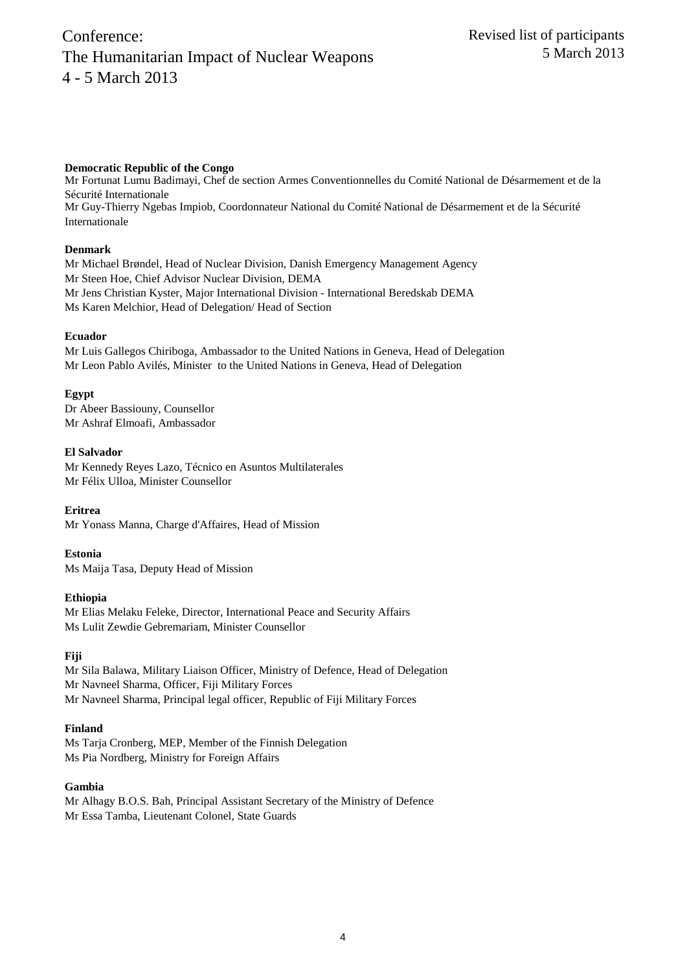## **Democratic Republic of the Congo**

Mr Fortunat Lumu Badimayi, Chef de section Armes Conventionnelles du Comité National de Désarmement et de la Sécurité Internationale Mr Guy-Thierry Ngebas Impiob, Coordonnateur National du Comité National de Désarmement et de la Sécurité Internationale

## **Denmark**

Mr Michael Brøndel, Head of Nuclear Division, Danish Emergency Management Agency Mr Steen Hoe, Chief Advisor Nuclear Division, DEMA Mr Jens Christian Kyster, Major International Division - International Beredskab DEMA Ms Karen Melchior, Head of Delegation/ Head of Section

## **Ecuador**

Mr Luis Gallegos Chiriboga, Ambassador to the United Nations in Geneva, Head of Delegation Mr Leon Pablo Avilés, Minister to the United Nations in Geneva, Head of Delegation

## **Egypt**

Dr Abeer Bassiouny, Counsellor Mr Ashraf Elmoafi, Ambassador

## **El Salvador**

Mr Kennedy Reyes Lazo, Técnico en Asuntos Multilaterales Mr Félix Ulloa, Minister Counsellor

## **Eritrea**

Mr Yonass Manna, Charge d'Affaires, Head of Mission

## **Estonia**

Ms Maija Tasa, Deputy Head of Mission

## **Ethiopia**

Mr Elias Melaku Feleke, Director, International Peace and Security Affairs Ms Lulit Zewdie Gebremariam, Minister Counsellor

## **Fiji**

Mr Sila Balawa, Military Liaison Officer, Ministry of Defence, Head of Delegation Mr Navneel Sharma, Officer, Fiji Military Forces Mr Navneel Sharma, Principal legal officer, Republic of Fiji Military Forces

## **Finland**

Ms Tarja Cronberg, MEP, Member of the Finnish Delegation Ms Pia Nordberg, Ministry for Foreign Affairs

## **Gambia**

Mr Alhagy B.O.S. Bah, Principal Assistant Secretary of the Ministry of Defence Mr Essa Tamba, Lieutenant Colonel, State Guards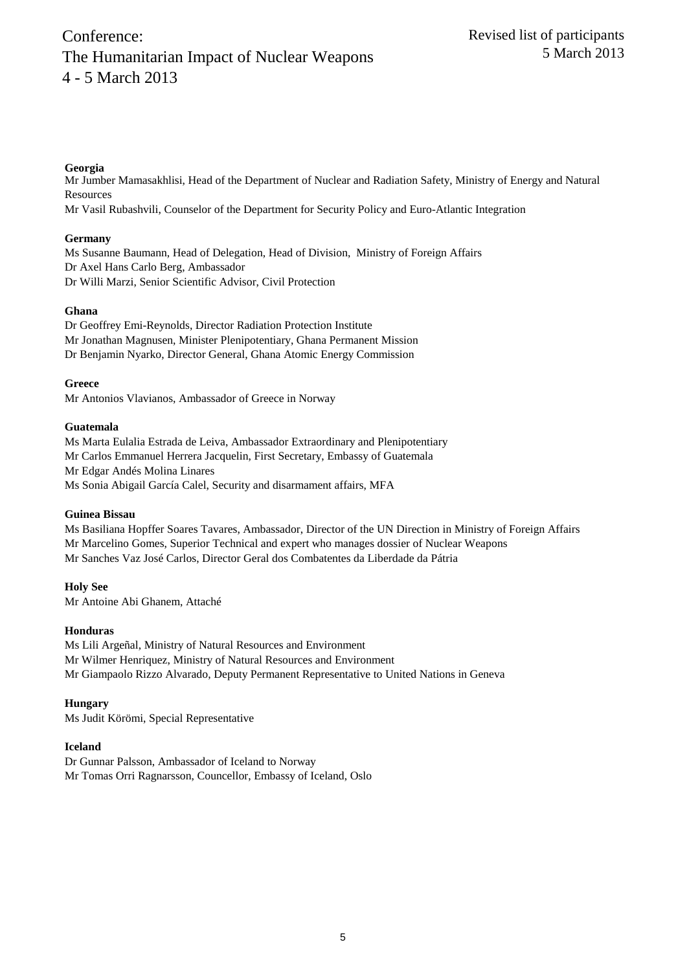## **Georgia**

Mr Jumber Mamasakhlisi, Head of the Department of Nuclear and Radiation Safety, Ministry of Energy and Natural **Resources** 

Mr Vasil Rubashvili, Counselor of the Department for Security Policy and Euro-Atlantic Integration

## **Germany**

Ms Susanne Baumann, Head of Delegation, Head of Division, Ministry of Foreign Affairs Dr Axel Hans Carlo Berg, Ambassador Dr Willi Marzi, Senior Scientific Advisor, Civil Protection

## **Ghana**

Dr Geoffrey Emi-Reynolds, Director Radiation Protection Institute Mr Jonathan Magnusen, Minister Plenipotentiary, Ghana Permanent Mission Dr Benjamin Nyarko, Director General, Ghana Atomic Energy Commission

**Greece** Mr Antonios Vlavianos, Ambassador of Greece in Norway

## **Guatemala**

Ms Marta Eulalia Estrada de Leiva, Ambassador Extraordinary and Plenipotentiary Mr Carlos Emmanuel Herrera Jacquelin, First Secretary, Embassy of Guatemala Mr Edgar Andés Molina Linares Ms Sonia Abigail García Calel, Security and disarmament affairs, MFA

## **Guinea Bissau**

Ms Basiliana Hopffer Soares Tavares, Ambassador, Director of the UN Direction in Ministry of Foreign Affairs Mr Marcelino Gomes, Superior Technical and expert who manages dossier of Nuclear Weapons Mr Sanches Vaz José Carlos, Director Geral dos Combatentes da Liberdade da Pátria

**Holy See** Mr Antoine Abi Ghanem, Attaché

## **Honduras**

Ms Lili Argeñal, Ministry of Natural Resources and Environment Mr Wilmer Henriquez, Ministry of Natural Resources and Environment Mr Giampaolo Rizzo Alvarado, Deputy Permanent Representative to United Nations in Geneva

## **Hungary**

Ms Judit Körömi, Special Representative

## **Iceland**

Dr Gunnar Palsson, Ambassador of Iceland to Norway Mr Tomas Orri Ragnarsson, Councellor, Embassy of Iceland, Oslo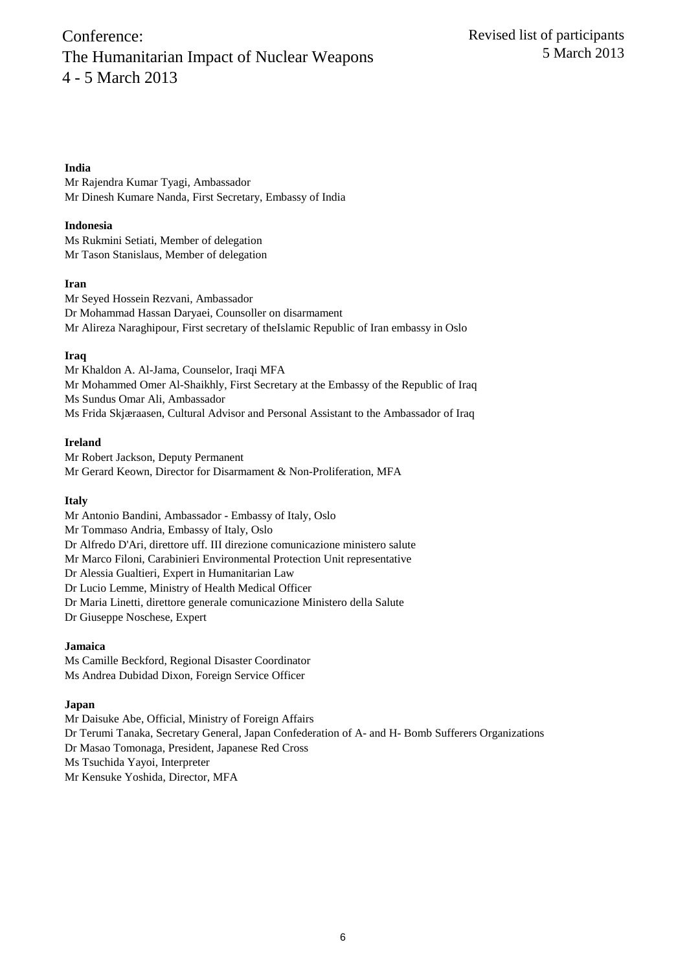## **India**

Mr Rajendra Kumar Tyagi, Ambassador Mr Dinesh Kumare Nanda, First Secretary, Embassy of India

### **Indonesia**

Ms Rukmini Setiati, Member of delegation Mr Tason Stanislaus, Member of delegation

#### **Iran**

Mr Seyed Hossein Rezvani, Ambassador Dr Mohammad Hassan Daryaei, Counsoller on disarmament Mr Alireza Naraghipour, First secretary of theIslamic Republic of Iran embassy in Oslo

## **Iraq**

Mr Khaldon A. Al-Jama, Counselor, Iraqi MFA Mr Mohammed Omer Al-Shaikhly, First Secretary at the Embassy of the Republic of Iraq Ms Sundus Omar Ali, Ambassador Ms Frida Skjæraasen, Cultural Advisor and Personal Assistant to the Ambassador of Iraq

#### **Ireland**

Mr Robert Jackson, Deputy Permanent Mr Gerard Keown, Director for Disarmament & Non-Proliferation, MFA

#### **Italy**

Mr Antonio Bandini, Ambassador - Embassy of Italy, Oslo Mr Tommaso Andria, Embassy of Italy, Oslo Dr Alfredo D'Ari, direttore uff. III direzione comunicazione ministero salute Mr Marco Filoni, Carabinieri Environmental Protection Unit representative Dr Alessia Gualtieri, Expert in Humanitarian Law Dr Lucio Lemme, Ministry of Health Medical Officer Dr Maria Linetti, direttore generale comunicazione Ministero della Salute Dr Giuseppe Noschese, Expert

## **Jamaica**

Ms Camille Beckford, Regional Disaster Coordinator Ms Andrea Dubidad Dixon, Foreign Service Officer

## **Japan**

Mr Daisuke Abe, Official, Ministry of Foreign Affairs Dr Terumi Tanaka, Secretary General, Japan Confederation of A- and H- Bomb Sufferers Organizations Dr Masao Tomonaga, President, Japanese Red Cross Ms Tsuchida Yayoi, Interpreter Mr Kensuke Yoshida, Director, MFA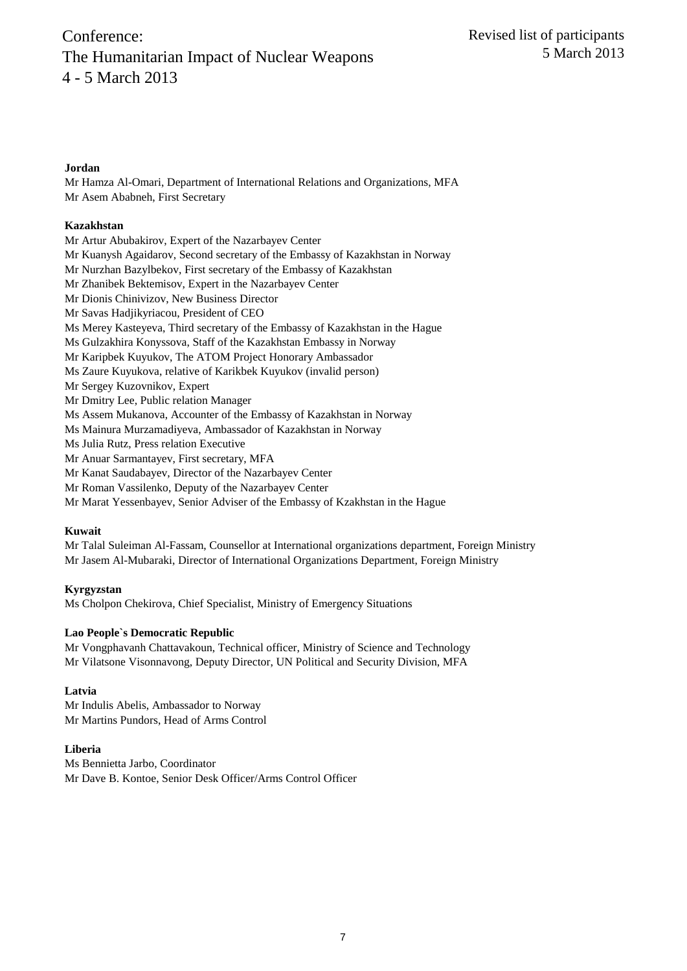## **Jordan**

Mr Hamza Al-Omari, Department of International Relations and Organizations, MFA Mr Asem Ababneh, First Secretary

### **Kazakhstan**

Mr Artur Abubakirov, Expert of the Nazarbayev Center Mr Kuanysh Agaidarov, Second secretary of the Embassy of Kazakhstan in Norway Mr Nurzhan Bazylbekov, First secretary of the Embassy of Kazakhstan Mr Zhanibek Bektemisov, Expert in the Nazarbayev Center Mr Dionis Chinivizov, New Business Director Mr Savas Hadjikyriacou, President of CEO Ms Merey Kasteyeva, Third secretary of the Embassy of Kazakhstan in the Hague Ms Gulzakhira Konyssova, Staff of the Kazakhstan Embassy in Norway Mr Karipbek Kuyukov, The ATOM Project Honorary Ambassador Ms Zaure Kuyukova, relative of Karikbek Kuyukov (invalid person) Mr Sergey Kuzovnikov, Expert Mr Dmitry Lee, Public relation Manager Ms Assem Mukanova, Accounter of the Embassy of Kazakhstan in Norway Ms Mainura Murzamadiyeva, Ambassador of Kazakhstan in Norway Ms Julia Rutz, Press relation Executive Mr Anuar Sarmantayev, First secretary, MFA Mr Kanat Saudabayev, Director of the Nazarbayev Center Mr Roman Vassilenko, Deputy of the Nazarbayev Center

Mr Marat Yessenbayev, Senior Adviser of the Embassy of Kzakhstan in the Hague

## **Kuwait**

Mr Talal Suleiman Al-Fassam, Counsellor at International organizations department, Foreign Ministry Mr Jasem Al-Mubaraki, Director of International Organizations Department, Foreign Ministry

#### **Kyrgyzstan**

Ms Cholpon Chekirova, Chief Specialist, Ministry of Emergency Situations

#### **Lao People`s Democratic Republic**

Mr Vongphavanh Chattavakoun, Technical officer, Ministry of Science and Technology Mr Vilatsone Visonnavong, Deputy Director, UN Political and Security Division, MFA

## **Latvia**

Mr Indulis Abelis, Ambassador to Norway Mr Martins Pundors, Head of Arms Control

## **Liberia**

Ms Bennietta Jarbo, Coordinator Mr Dave B. Kontoe, Senior Desk Officer/Arms Control Officer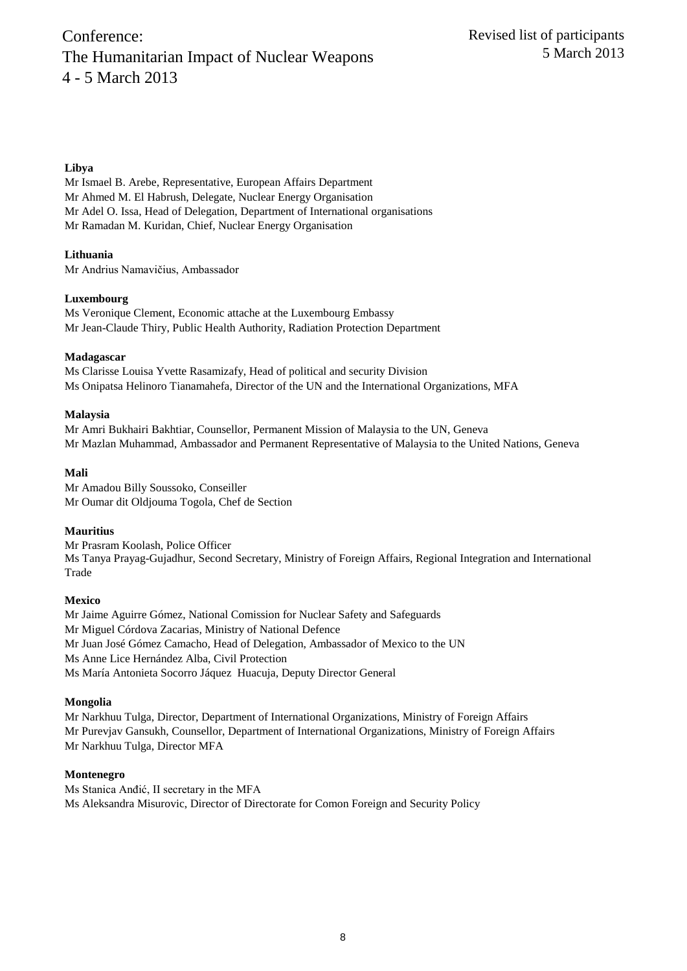### **Libya**

Mr Ismael B. Arebe, Representative, European Affairs Department Mr Ahmed M. El Habrush, Delegate, Nuclear Energy Organisation Mr Adel O. Issa, Head of Delegation, Department of International organisations Mr Ramadan M. Kuridan, Chief, Nuclear Energy Organisation

**Lithuania** Mr Andrius Namavičius, Ambassador

#### **Luxembourg**

Ms Veronique Clement, Economic attache at the Luxembourg Embassy Mr Jean-Claude Thiry, Public Health Authority, Radiation Protection Department

#### **Madagascar**

Ms Clarisse Louisa Yvette Rasamizafy, Head of political and security Division Ms Onipatsa Helinoro Tianamahefa, Director of the UN and the International Organizations, MFA

#### **Malaysia**

Mr Amri Bukhairi Bakhtiar, Counsellor, Permanent Mission of Malaysia to the UN, Geneva Mr Mazlan Muhammad, Ambassador and Permanent Representative of Malaysia to the United Nations, Geneva

#### **Mali**

Mr Amadou Billy Soussoko, Conseiller Mr Oumar dit Oldjouma Togola, Chef de Section

#### **Mauritius**

Mr Prasram Koolash, Police Officer Ms Tanya Prayag-Gujadhur, Second Secretary, Ministry of Foreign Affairs, Regional Integration and International Trade

#### **Mexico**

Mr Jaime Aguirre Gómez, National Comission for Nuclear Safety and Safeguards Mr Miguel Córdova Zacarias, Ministry of National Defence Mr Juan José Gómez Camacho, Head of Delegation, Ambassador of Mexico to the UN Ms Anne Lice Hernández Alba, Civil Protection Ms María Antonieta Socorro Jáquez Huacuja, Deputy Director General

#### **Mongolia**

Mr Narkhuu Tulga, Director, Department of International Organizations, Ministry of Foreign Affairs Mr Purevjav Gansukh, Counsellor, Department of International Organizations, Ministry of Foreign Affairs Mr Narkhuu Tulga, Director MFA

#### **Montenegro**

Ms Stanica Anđić, II secretary in the MFA Ms Aleksandra Misurovic, Director of Directorate for Comon Foreign and Security Policy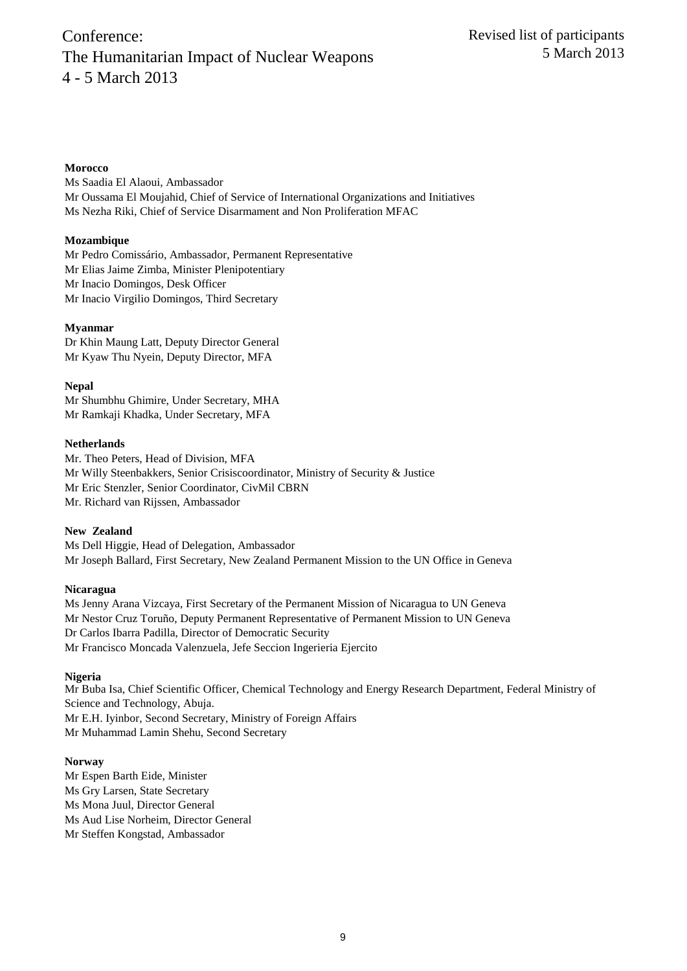#### **Morocco**

Ms Saadia El Alaoui, Ambassador Mr Oussama El Moujahid, Chief of Service of International Organizations and Initiatives Ms Nezha Riki, Chief of Service Disarmament and Non Proliferation MFAC

## **Mozambique**

Mr Pedro Comissário, Ambassador, Permanent Representative Mr Elias Jaime Zimba, Minister Plenipotentiary Mr Inacio Domingos, Desk Officer Mr Inacio Virgilio Domingos, Third Secretary

#### **Myanmar**

Dr Khin Maung Latt, Deputy Director General Mr Kyaw Thu Nyein, Deputy Director, MFA

**Nepal** Mr Shumbhu Ghimire, Under Secretary, MHA Mr Ramkaji Khadka, Under Secretary, MFA

#### **Netherlands**

Mr. Theo Peters, Head of Division, MFA Mr Willy Steenbakkers, Senior Crisiscoordinator, Ministry of Security & Justice Mr Eric Stenzler, Senior Coordinator, CivMil CBRN Mr. Richard van Rijssen, Ambassador

#### **New Zealand**

Ms Dell Higgie, Head of Delegation, Ambassador Mr Joseph Ballard, First Secretary, New Zealand Permanent Mission to the UN Office in Geneva

#### **Nicaragua**

Ms Jenny Arana Vizcaya, First Secretary of the Permanent Mission of Nicaragua to UN Geneva Mr Nestor Cruz Toruño, Deputy Permanent Representative of Permanent Mission to UN Geneva Dr Carlos Ibarra Padilla, Director of Democratic Security Mr Francisco Moncada Valenzuela, Jefe Seccion Ingerieria Ejercito

#### **Nigeria**

Mr Buba Isa, Chief Scientific Officer, Chemical Technology and Energy Research Department, Federal Ministry of Science and Technology, Abuja. Mr E.H. Iyinbor, Second Secretary, Ministry of Foreign Affairs Mr Muhammad Lamin Shehu, Second Secretary

#### **Norway**

Mr Espen Barth Eide, Minister Ms Gry Larsen, State Secretary Ms Mona Juul, Director General Ms Aud Lise Norheim, Director General Mr Steffen Kongstad, Ambassador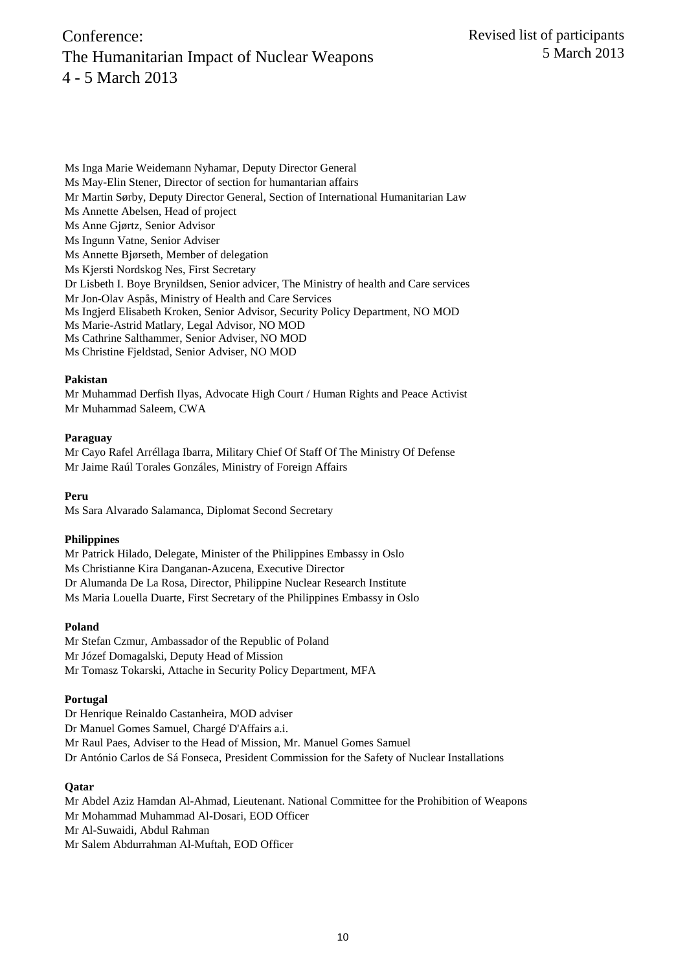Ms Inga Marie Weidemann Nyhamar, Deputy Director General Ms May-Elin Stener, Director of section for humantarian affairs Mr Martin Sørby, Deputy Director General, Section of International Humanitarian Law Ms Annette Abelsen, Head of project Ms Anne Gjørtz, Senior Advisor Ms Ingunn Vatne, Senior Adviser Ms Annette Bjørseth, Member of delegation Ms Kjersti Nordskog Nes, First Secretary Dr Lisbeth I. Boye Brynildsen, Senior advicer, The Ministry of health and Care services Mr Jon-Olav Aspås, Ministry of Health and Care Services Ms Ingjerd Elisabeth Kroken, Senior Advisor, Security Policy Department, NO MOD Ms Marie-Astrid Matlary, Legal Advisor, NO MOD Ms Cathrine Salthammer, Senior Adviser, NO MOD Ms Christine Fjeldstad, Senior Adviser, NO MOD

#### **Pakistan**

Mr Muhammad Derfish Ilyas, Advocate High Court / Human Rights and Peace Activist Mr Muhammad Saleem, CWA

#### **Paraguay**

Mr Cayo Rafel Arréllaga Ibarra, Military Chief Of Staff Of The Ministry Of Defense Mr Jaime Raúl Torales Gonzáles, Ministry of Foreign Affairs

**Peru**

Ms Sara Alvarado Salamanca, Diplomat Second Secretary

## **Philippines**

Mr Patrick Hilado, Delegate, Minister of the Philippines Embassy in Oslo Ms Christianne Kira Danganan-Azucena, Executive Director Dr Alumanda De La Rosa, Director, Philippine Nuclear Research Institute Ms Maria Louella Duarte, First Secretary of the Philippines Embassy in Oslo

## **Poland**

Mr Stefan Czmur, Ambassador of the Republic of Poland Mr Józef Domagalski, Deputy Head of Mission Mr Tomasz Tokarski, Attache in Security Policy Department, MFA

#### **Portugal**

Dr Henrique Reinaldo Castanheira, MOD adviser Dr Manuel Gomes Samuel, Chargé D'Affairs a.i. Mr Raul Paes, Adviser to the Head of Mission, Mr. Manuel Gomes Samuel Dr António Carlos de Sá Fonseca, President Commission for the Safety of Nuclear Installations

#### **Qatar**

Mr Abdel Aziz Hamdan Al-Ahmad, Lieutenant. National Committee for the Prohibition of Weapons Mr Mohammad Muhammad Al-Dosari, EOD Officer Mr Al-Suwaidi, Abdul Rahman Mr Salem Abdurrahman Al-Muftah, EOD Officer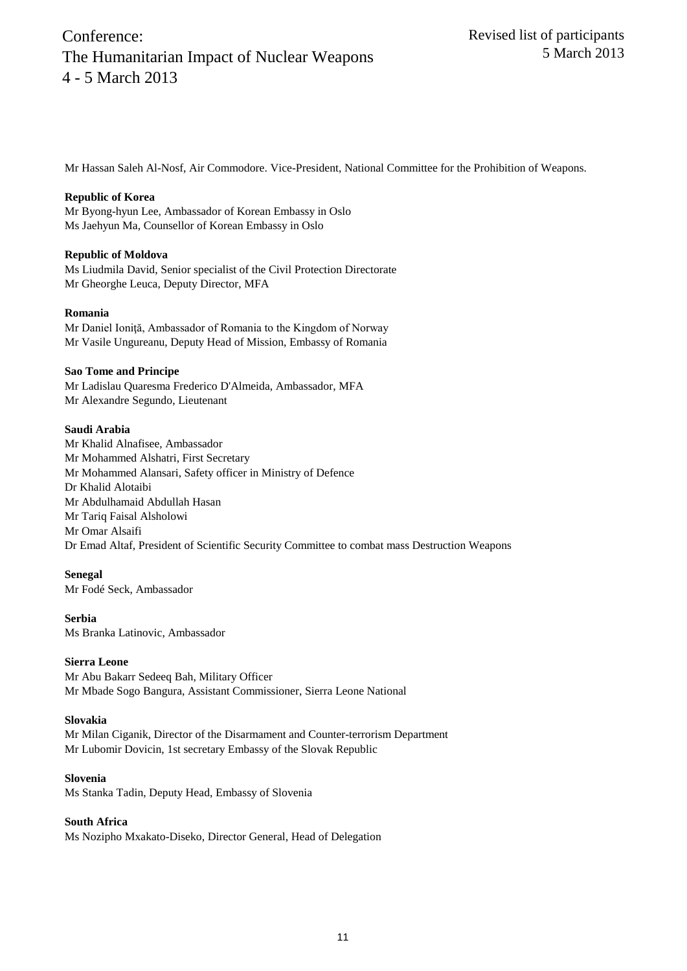Mr Hassan Saleh Al-Nosf, Air Commodore. Vice-President, National Committee for the Prohibition of Weapons.

#### **Republic of Korea**

Mr Byong-hyun Lee, Ambassador of Korean Embassy in Oslo Ms Jaehyun Ma, Counsellor of Korean Embassy in Oslo

#### **Republic of Moldova**

Ms Liudmila David, Senior specialist of the Civil Protection Directorate Mr Gheorghe Leuca, Deputy Director, MFA

#### **Romania**

Mr Daniel Ioniţă, Ambassador of Romania to the Kingdom of Norway Mr Vasile Ungureanu, Deputy Head of Mission, Embassy of Romania

#### **Sao Tome and Principe**

Mr Ladislau Quaresma Frederico D'Almeida, Ambassador, MFA Mr Alexandre Segundo, Lieutenant

#### **Saudi Arabia**

Mr Khalid Alnafisee, Ambassador Mr Mohammed Alshatri, First Secretary Mr Mohammed Alansari, Safety officer in Ministry of Defence Dr Khalid Alotaibi Mr Abdulhamaid Abdullah Hasan Mr Tariq Faisal Alsholowi Mr Omar Alsaifi Dr Emad Altaf, President of Scientific Security Committee to combat mass Destruction Weapons

## **Senegal**

Mr Fodé Seck, Ambassador

## **Serbia**

Ms Branka Latinovic, Ambassador

## **Sierra Leone**

Mr Abu Bakarr Sedeeq Bah, Military Officer Mr Mbade Sogo Bangura, Assistant Commissioner, Sierra Leone National

#### **Slovakia**

Mr Milan Ciganik, Director of the Disarmament and Counter-terrorism Department Mr Lubomir Dovicin, 1st secretary Embassy of the Slovak Republic

#### **Slovenia**

Ms Stanka Tadin, Deputy Head, Embassy of Slovenia

## **South Africa**

Ms Nozipho Mxakato-Diseko, Director General, Head of Delegation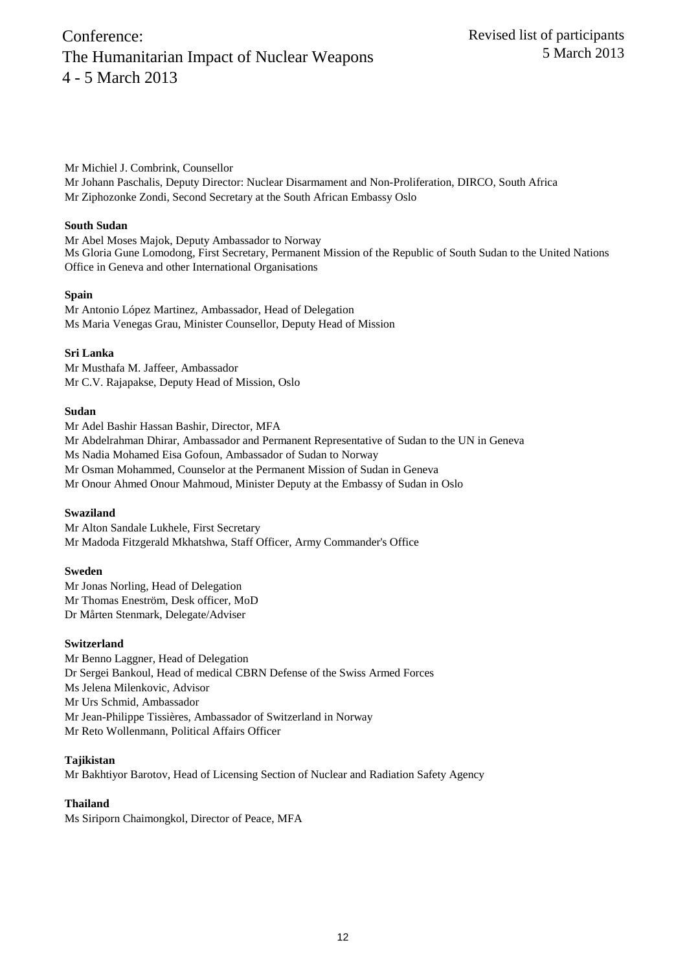Mr Michiel J. Combrink, Counsellor

Mr Johann Paschalis, Deputy Director: Nuclear Disarmament and Non-Proliferation, DIRCO, South Africa Mr Ziphozonke Zondi, Second Secretary at the South African Embassy Oslo

## **South Sudan**

Mr Abel Moses Majok, Deputy Ambassador to Norway Ms Gloria Gune Lomodong, First Secretary, Permanent Mission of the Republic of South Sudan to the United Nations Office in Geneva and other International Organisations

## **Spain**

Mr Antonio López Martinez, Ambassador, Head of Delegation Ms Maria Venegas Grau, Minister Counsellor, Deputy Head of Mission

## **Sri Lanka**

Mr Musthafa M. Jaffeer, Ambassador Mr C.V. Rajapakse, Deputy Head of Mission, Oslo

## **Sudan**

Mr Adel Bashir Hassan Bashir, Director, MFA Mr Abdelrahman Dhirar, Ambassador and Permanent Representative of Sudan to the UN in Geneva Ms Nadia Mohamed Eisa Gofoun, Ambassador of Sudan to Norway Mr Osman Mohammed, Counselor at the Permanent Mission of Sudan in Geneva Mr Onour Ahmed Onour Mahmoud, Minister Deputy at the Embassy of Sudan in Oslo

## **Swaziland**

Mr Alton Sandale Lukhele, First Secretary Mr Madoda Fitzgerald Mkhatshwa, Staff Officer, Army Commander's Office

## **Sweden**

Mr Jonas Norling, Head of Delegation Mr Thomas Eneström, Desk officer, MoD Dr Mårten Stenmark, Delegate/Adviser

## **Switzerland**

Mr Benno Laggner, Head of Delegation Dr Sergei Bankoul, Head of medical CBRN Defense of the Swiss Armed Forces Ms Jelena Milenkovic, Advisor Mr Urs Schmid, Ambassador Mr Jean-Philippe Tissières, Ambassador of Switzerland in Norway Mr Reto Wollenmann, Political Affairs Officer

## **Tajikistan**

Mr Bakhtiyor Barotov, Head of Licensing Section of Nuclear and Radiation Safety Agency

## **Thailand**

Ms Siriporn Chaimongkol, Director of Peace, MFA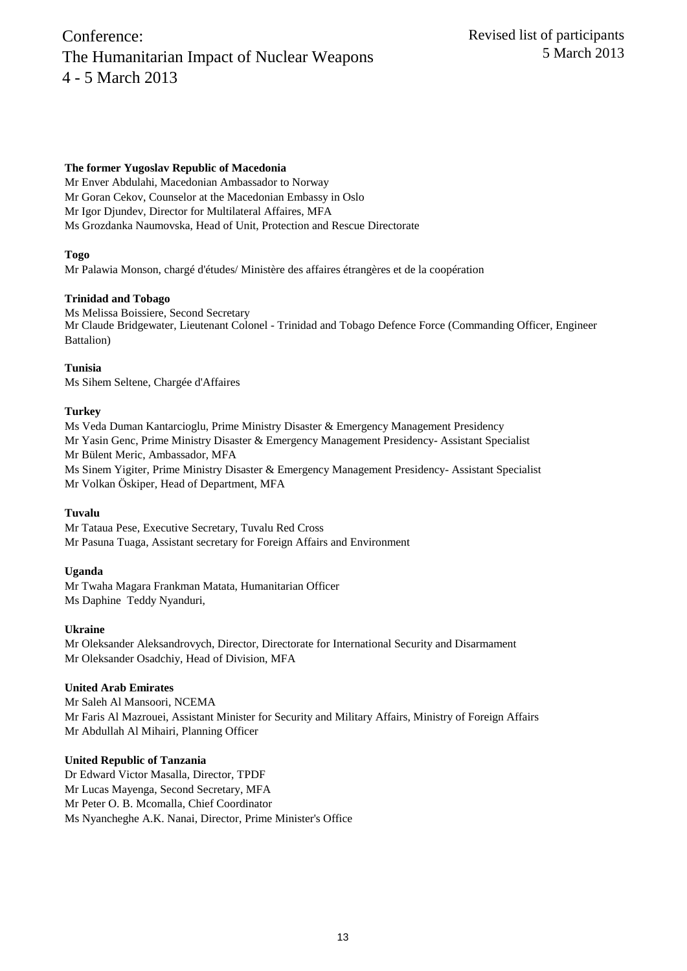## **The former Yugoslav Republic of Macedonia**

Mr Enver Abdulahi, Macedonian Ambassador to Norway Mr Goran Cekov, Counselor at the Macedonian Embassy in Oslo Mr Igor Djundev, Director for Multilateral Affaires, MFA Ms Grozdanka Naumovska, Head of Unit, Protection and Rescue Directorate

## **Togo**

Mr Palawia Monson, chargé d'études/ Ministère des affaires étrangères et de la coopération

## **Trinidad and Tobago**

Ms Melissa Boissiere, Second Secretary Mr Claude Bridgewater, Lieutenant Colonel - Trinidad and Tobago Defence Force (Commanding Officer, Engineer Battalion)

## **Tunisia**

Ms Sihem Seltene, Chargée d'Affaires

## **Turkey**

Ms Veda Duman Kantarcioglu, Prime Ministry Disaster & Emergency Management Presidency Mr Yasin Genc, Prime Ministry Disaster & Emergency Management Presidency- Assistant Specialist Mr Bülent Meric, Ambassador, MFA Ms Sinem Yigiter, Prime Ministry Disaster & Emergency Management Presidency- Assistant Specialist Mr Volkan Öskiper, Head of Department, MFA

## **Tuvalu**

Mr Tataua Pese, Executive Secretary, Tuvalu Red Cross Mr Pasuna Tuaga, Assistant secretary for Foreign Affairs and Environment

## **Uganda**

Mr Twaha Magara Frankman Matata, Humanitarian Officer Ms Daphine Teddy Nyanduri,

## **Ukraine**

Mr Oleksander Aleksandrovych, Director, Directorate for International Security and Disarmament Mr Oleksander Osadchiy, Head of Division, MFA

## **United Arab Emirates**

Mr Saleh Al Mansoori, NCEMA Mr Faris Al Mazrouei, Assistant Minister for Security and Military Affairs, Ministry of Foreign Affairs Mr Abdullah Al Mihairi, Planning Officer

## **United Republic of Tanzania**

Dr Edward Victor Masalla, Director, TPDF Mr Lucas Mayenga, Second Secretary, MFA Mr Peter O. B. Mcomalla, Chief Coordinator Ms Nyancheghe A.K. Nanai, Director, Prime Minister's Office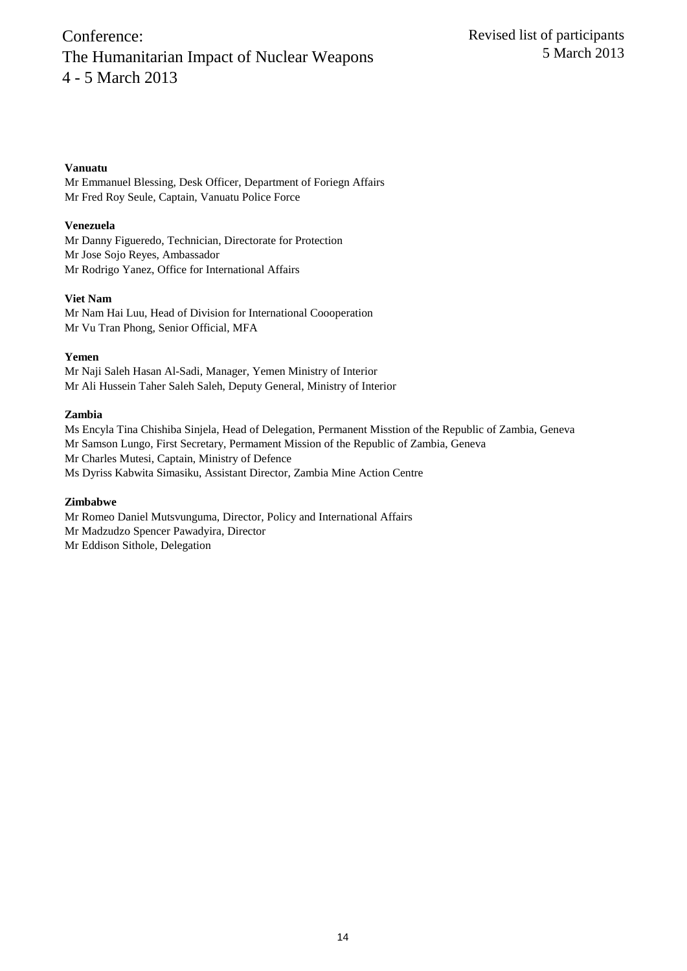## **Vanuatu**

Mr Emmanuel Blessing, Desk Officer, Department of Foriegn Affairs Mr Fred Roy Seule, Captain, Vanuatu Police Force

## **Venezuela**

Mr Danny Figueredo, Technician, Directorate for Protection Mr Jose Sojo Reyes, Ambassador Mr Rodrigo Yanez, Office for International Affairs

## **Viet Nam**

Mr Nam Hai Luu, Head of Division for International Coooperation Mr Vu Tran Phong, Senior Official, MFA

## **Yemen**

Mr Naji Saleh Hasan Al-Sadi, Manager, Yemen Ministry of Interior Mr Ali Hussein Taher Saleh Saleh, Deputy General, Ministry of Interior

## **Zambia**

Ms Encyla Tina Chishiba Sinjela, Head of Delegation, Permanent Misstion of the Republic of Zambia, Geneva Mr Samson Lungo, First Secretary, Permament Mission of the Republic of Zambia, Geneva Mr Charles Mutesi, Captain, Ministry of Defence Ms Dyriss Kabwita Simasiku, Assistant Director, Zambia Mine Action Centre

## **Zimbabwe**

Mr Romeo Daniel Mutsvunguma, Director, Policy and International Affairs Mr Madzudzo Spencer Pawadyira, Director Mr Eddison Sithole, Delegation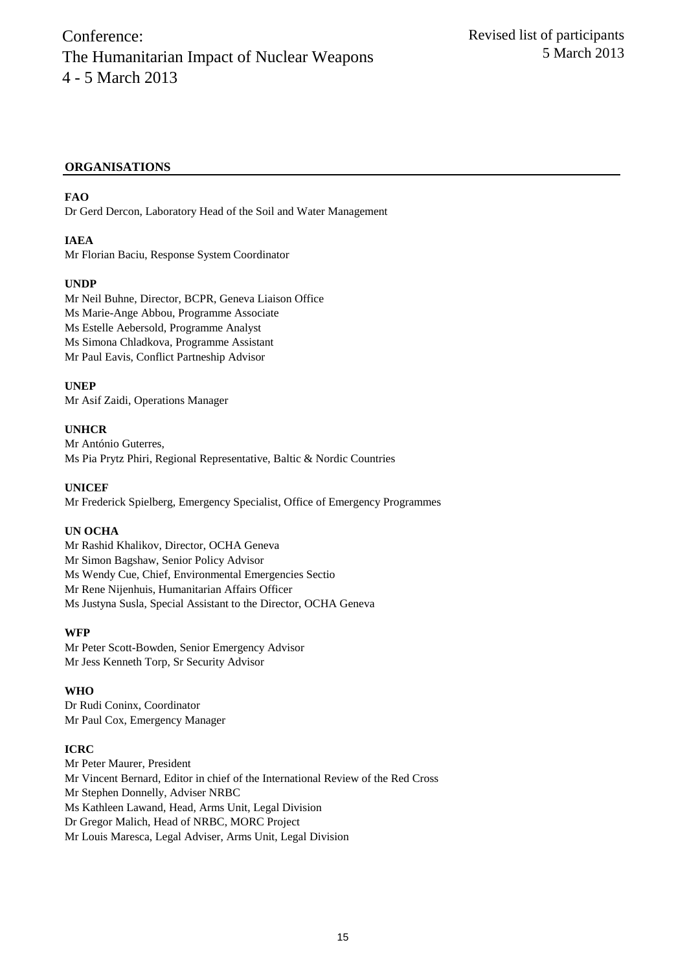## **ORGANISATIONS**

## **FAO**

Dr Gerd Dercon, Laboratory Head of the Soil and Water Management

## **IAEA**

Mr Florian Baciu, Response System Coordinator

## **UNDP**

Mr Neil Buhne, Director, BCPR, Geneva Liaison Office Ms Marie-Ange Abbou, Programme Associate Ms Estelle Aebersold, Programme Analyst Ms Simona Chladkova, Programme Assistant Mr Paul Eavis, Conflict Partneship Advisor

## **UNEP**

Mr Asif Zaidi, Operations Manager

#### **UNHCR**

Mr António Guterres, Ms Pia Prytz Phiri, Regional Representative, Baltic & Nordic Countries

**UNICEF** Mr Frederick Spielberg, Emergency Specialist, Office of Emergency Programmes

#### **UN OCHA**

Mr Rashid Khalikov, Director, OCHA Geneva Mr Simon Bagshaw, Senior Policy Advisor Ms Wendy Cue, Chief, Environmental Emergencies Sectio Mr Rene Nijenhuis, Humanitarian Affairs Officer Ms Justyna Susla, Special Assistant to the Director, OCHA Geneva

#### **WFP**

Mr Peter Scott-Bowden, Senior Emergency Advisor Mr Jess Kenneth Torp, Sr Security Advisor

## **WHO**

Dr Rudi Coninx, Coordinator Mr Paul Cox, Emergency Manager

## **ICRC**

Mr Peter Maurer, President Mr Vincent Bernard, Editor in chief of the International Review of the Red Cross Mr Stephen Donnelly, Adviser NRBC Ms Kathleen Lawand, Head, Arms Unit, Legal Division Dr Gregor Malich, Head of NRBC, MORC Project Mr Louis Maresca, Legal Adviser, Arms Unit, Legal Division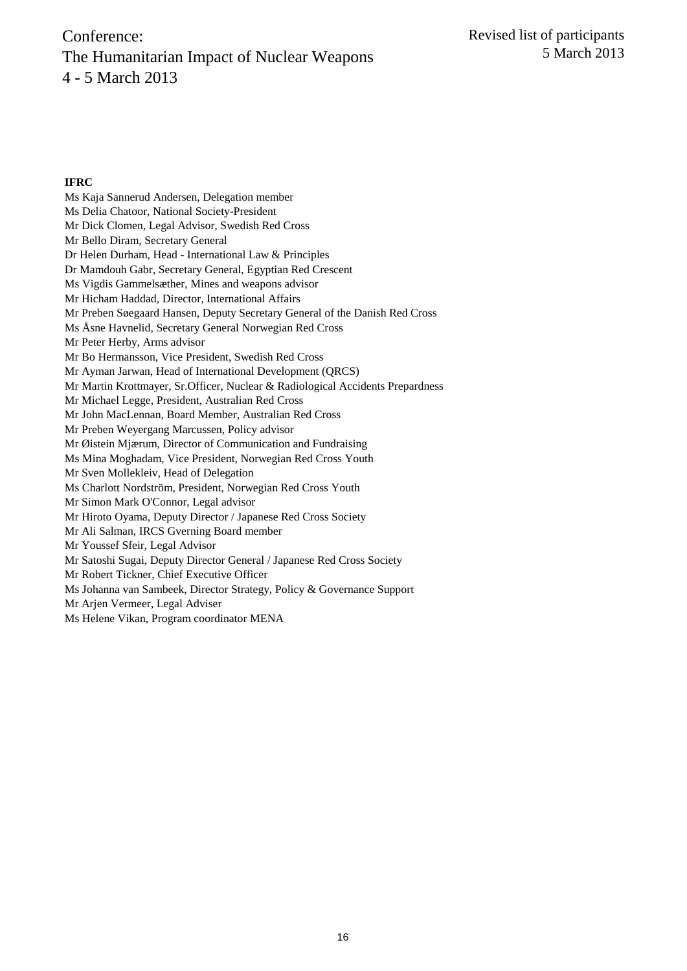#### **IFRC**

Ms Kaja Sannerud Andersen, Delegation member Ms Delia Chatoor, National Society-President Mr Dick Clomen, Legal Advisor, Swedish Red Cross Mr Bello Diram, Secretary General Dr Helen Durham, Head - International Law & Principles Dr Mamdouh Gabr, Secretary General, Egyptian Red Crescent Ms Vigdis Gammelsæther, Mines and weapons advisor Mr Hicham Haddad, Director, International Affairs Mr Preben Søegaard Hansen, Deputy Secretary General of the Danish Red Cross Ms Åsne Havnelid, Secretary General Norwegian Red Cross Mr Peter Herby, Arms advisor Mr Bo Hermansson, Vice President, Swedish Red Cross Mr Ayman Jarwan, Head of International Development (QRCS) Mr Martin Krottmayer, Sr.Officer, Nuclear & Radiological Accidents Prepardness Mr Michael Legge, President, Australian Red Cross Mr John MacLennan, Board Member, Australian Red Cross Mr Preben Weyergang Marcussen, Policy advisor Mr Øistein Mjærum, Director of Communication and Fundraising Ms Mina Moghadam, Vice President, Norwegian Red Cross Youth Mr Sven Mollekleiv, Head of Delegation Ms Charlott Nordström, President, Norwegian Red Cross Youth Mr Simon Mark O'Connor, Legal advisor Mr Hiroto Oyama, Deputy Director / Japanese Red Cross Society Mr Ali Salman, IRCS Gverning Board member Mr Youssef Sfeir, Legal Advisor Mr Satoshi Sugai, Deputy Director General / Japanese Red Cross Society Mr Robert Tickner, Chief Executive Officer Ms Johanna van Sambeek, Director Strategy, Policy & Governance Support Mr Arjen Vermeer, Legal Adviser

Ms Helene Vikan, Program coordinator MENA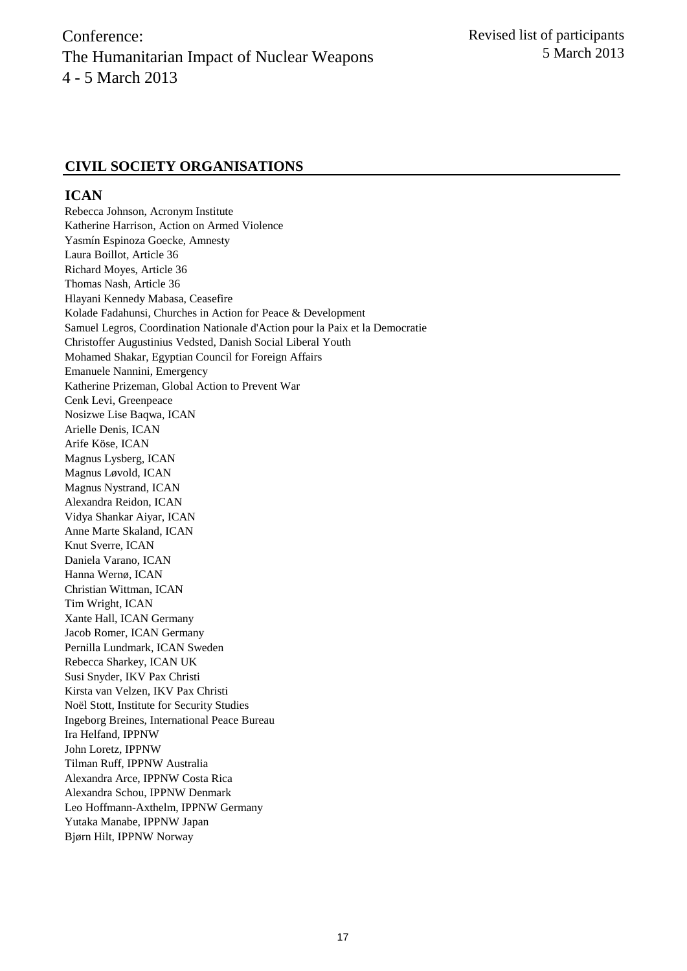## **CIVIL SOCIETY ORGANISATIONS**

## **ICAN**

Rebecca Johnson, Acronym Institute Katherine Harrison, Action on Armed Violence Yasmín Espinoza Goecke, Amnesty Laura Boillot, Article 36 Richard Moyes, Article 36 Thomas Nash, Article 36 Hlayani Kennedy Mabasa, Ceasefire Kolade Fadahunsi, Churches in Action for Peace & Development Samuel Legros, Coordination Nationale d'Action pour la Paix et la Democratie Christoffer Augustinius Vedsted, Danish Social Liberal Youth Mohamed Shakar, Egyptian Council for Foreign Affairs Emanuele Nannini, Emergency Katherine Prizeman, Global Action to Prevent War Cenk Levi, Greenpeace Nosizwe Lise Baqwa, ICAN Arielle Denis, ICAN Arife Köse, ICAN Magnus Lysberg, ICAN Magnus Løvold, ICAN Magnus Nystrand, ICAN Alexandra Reidon, ICAN Vidya Shankar Aiyar, ICAN Anne Marte Skaland, ICAN Knut Sverre, ICAN Daniela Varano, ICAN Hanna Wernø, ICAN Christian Wittman, ICAN Tim Wright, ICAN Xante Hall, ICAN Germany Jacob Romer, ICAN Germany Pernilla Lundmark, ICAN Sweden Rebecca Sharkey, ICAN UK Susi Snyder, IKV Pax Christi Kirsta van Velzen, IKV Pax Christi Noël Stott, Institute for Security Studies Ingeborg Breines, International Peace Bureau Ira Helfand, IPPNW John Loretz, IPPNW Tilman Ruff, IPPNW Australia Alexandra Arce, IPPNW Costa Rica Alexandra Schou, IPPNW Denmark Leo Hoffmann-Axthelm, IPPNW Germany Yutaka Manabe, IPPNW Japan Bjørn Hilt, IPPNW Norway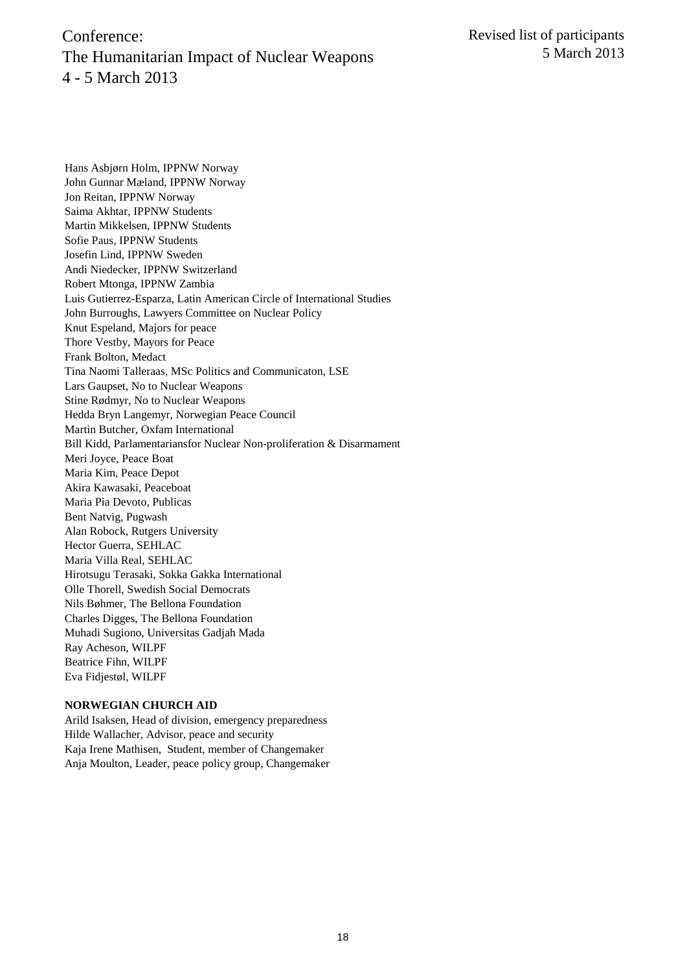Hans Asbjørn Holm, IPPNW Norway John Gunnar Mæland, IPPNW Norway Jon Reitan, IPPNW Norway Saima Akhtar, IPPNW Students Martin Mikkelsen, IPPNW Students Sofie Paus, IPPNW Students Josefin Lind, IPPNW Sweden Andi Niedecker, IPPNW Switzerland Robert Mtonga, IPPNW Zambia Luis Gutierrez-Esparza, Latin American Circle of International Studies John Burroughs, Lawyers Committee on Nuclear Policy Knut Espeland, Majors for peace Thore Vestby, Mayors for Peace Frank Bolton, Medact Tina Naomi Talleraas, MSc Politics and Communicaton, LSE Lars Gaupset, No to Nuclear Weapons Stine Rødmyr, No to Nuclear Weapons Hedda Bryn Langemyr, Norwegian Peace Council Martin Butcher, Oxfam International Bill Kidd, Parlamentariansfor Nuclear Non-proliferation & Disarmament Meri Joyce, Peace Boat Maria Kim, Peace Depot Akira Kawasaki, Peaceboat Maria Pia Devoto, Publicas Bent Natvig, Pugwash Alan Robock, Rutgers University Hector Guerra, SEHLAC Maria Villa Real, SEHLAC Hirotsugu Terasaki, Sokka Gakka International Olle Thorell, Swedish Social Democrats Nils Bøhmer, The Bellona Foundation Charles Digges, The Bellona Foundation Muhadi Sugiono, Universitas Gadjah Mada Ray Acheson, WILPF Beatrice Fihn, WILPF Eva Fidjestøl, WILPF

#### **NORWEGIAN CHURCH AID**

Arild Isaksen, Head of division, emergency preparedness Hilde Wallacher, Advisor, peace and security Kaja Irene Mathisen, Student, member of Changemaker Anja Moulton, Leader, peace policy group, Changemaker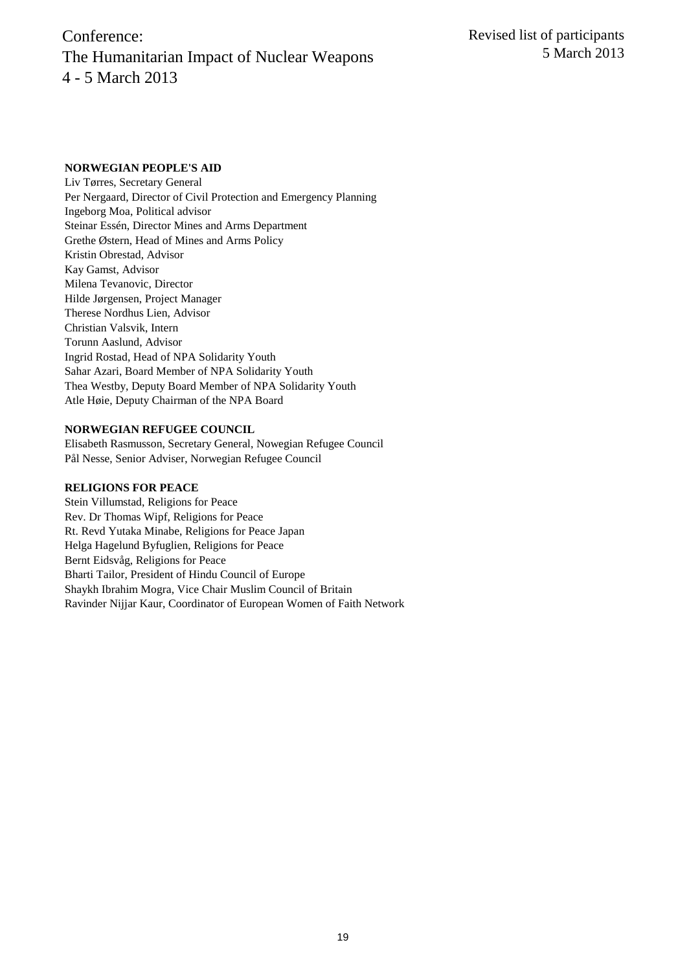#### **NORWEGIAN PEOPLE'S AID**

Liv Tørres, Secretary General Per Nergaard, Director of Civil Protection and Emergency Planning Ingeborg Moa, Political advisor Steinar Essén, Director Mines and Arms Department Grethe Østern, Head of Mines and Arms Policy Kristin Obrestad, Advisor Kay Gamst, Advisor Milena Tevanovic, Director Hilde Jørgensen, Project Manager Therese Nordhus Lien, Advisor Christian Valsvik, Intern Torunn Aaslund, Advisor Ingrid Rostad, Head of NPA Solidarity Youth Sahar Azari, Board Member of NPA Solidarity Youth Thea Westby, Deputy Board Member of NPA Solidarity Youth Atle Høie, Deputy Chairman of the NPA Board

#### **NORWEGIAN REFUGEE COUNCIL**

Elisabeth Rasmusson, Secretary General, Nowegian Refugee Council Pål Nesse, Senior Adviser, Norwegian Refugee Council

#### **RELIGIONS FOR PEACE**

Stein Villumstad, Religions for Peace Rev. Dr Thomas Wipf, Religions for Peace Rt. Revd Yutaka Minabe, Religions for Peace Japan Helga Hagelund Byfuglien, Religions for Peace Bernt Eidsvåg, Religions for Peace Bharti Tailor, President of Hindu Council of Europe Shaykh Ibrahim Mogra, Vice Chair Muslim Council of Britain Ravinder Nijjar Kaur, Coordinator of European Women of Faith Network